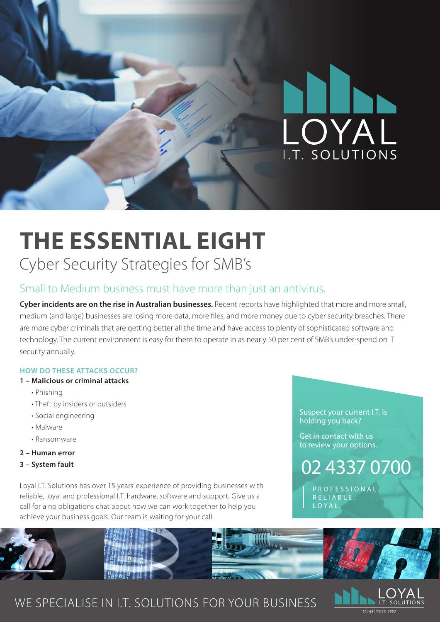

## **THE ESSENTIAL EIGHT** Cyber Security Strategies for SMB's

## Small to Medium business must have more than just an antivirus.

**Cyber incidents are on the rise in Australian businesses.** Recent reports have highlighted that more and more small, medium (and large) businesses are losing more data, more files, and more money due to cyber security breaches. There are more cyber criminals that are getting better all the time and have access to plenty of sophisticated software and technology. The current environment is easy for them to operate in as nearly 50 per cent of SMB's under-spend on IT security annually.

#### **HOW DO THESE ATTACKS OCCUR?**

#### **1 – Malicious or criminal attacks**

- Phishing
- Theft by insiders or outsiders
- Social engineering
- Malware
- Ransomware
- **2 Human error**
- **3 System fault**

Loyal I.T. Solutions has over 15 years' experience of providing businesses with reliable, loyal and professional I.T. hardware, software and support. Give us a call for a no obligations chat about how we can work together to help you achieve your business goals. Our team is waiting for your call.

Suspect your current I.T. is holding you back?

Get in contact with us to review your options.

02 4337 0700

P R O F E S S I O N A L R E L LA B L E . LOYAL.



### WE SPECIALISE IN I.T. SOLUTIONS FOR YOUR BUSINESS